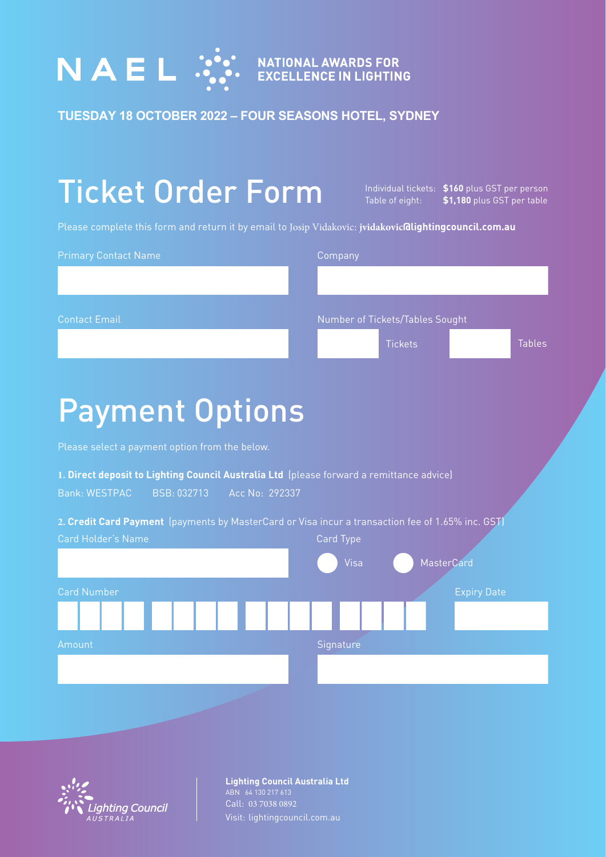

**TUESDAY 18 OCTOBER 2022 – FOUR SEASONS HOTEL, SYDNEY**

# Ticket Order Form

Individual tickets: **\$160** plus GST per person Table of eight: **\$1,180** plus GST per table

Please complete this form and return it by email to Josip Vidakovic: **jvidakovic@lightingcouncil.com.au**

| <b>Primary Contact Name</b>                                                                                                                       | Company                         |
|---------------------------------------------------------------------------------------------------------------------------------------------------|---------------------------------|
|                                                                                                                                                   |                                 |
|                                                                                                                                                   |                                 |
| <b>Contact Email</b>                                                                                                                              | Number of Tickets/Tables Sought |
|                                                                                                                                                   | <b>Tickets</b><br><b>Tables</b> |
|                                                                                                                                                   |                                 |
|                                                                                                                                                   |                                 |
| <b>Payment Options</b>                                                                                                                            |                                 |
| Please select a payment option from the below.                                                                                                    |                                 |
| 1. Direct deposit to Lighting Council Australia Ltd (please forward a remittance advice)<br><b>Bank: WESTPAC</b><br>BSB: 032713<br>Acc No: 292337 |                                 |
| 2. Credit Card Payment (payments by MasterCard or Visa incur a transaction fee of 1.65% inc. GST)                                                 |                                 |
| Card Holder's Name                                                                                                                                | Card Type                       |
|                                                                                                                                                   | <b>MasterCard</b><br>Visa       |
| <b>Card Number</b>                                                                                                                                | <b>Expiry Date</b>              |
|                                                                                                                                                   |                                 |
| Amount                                                                                                                                            | Signature                       |
|                                                                                                                                                   |                                 |



**Lighting Council Australia Ltd**  ABN 64 130 217 613 Call: 03 7038 0892 Visit: lightingcouncil.com.au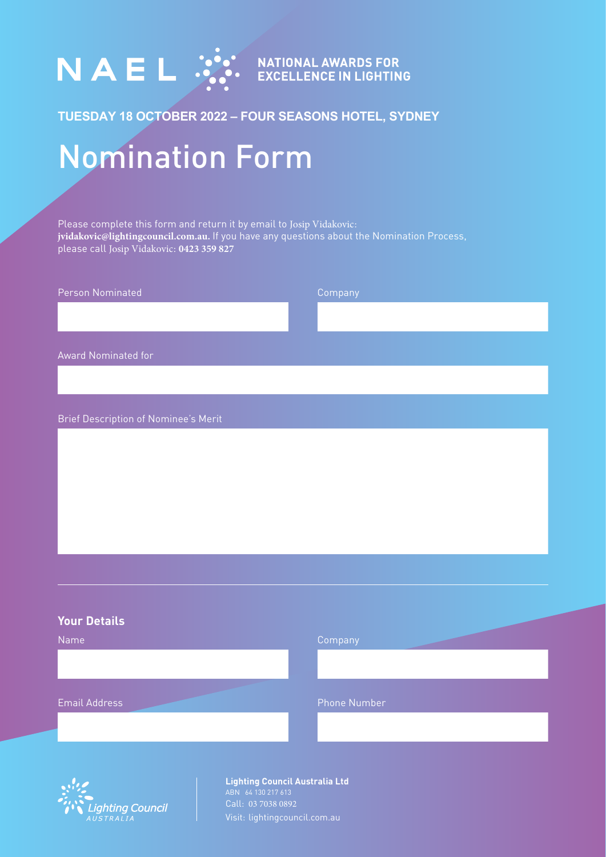

# **TUESDAY 18 OCTOBER 2022 – FOUR SEASONS HOTEL, SYDNEY**

# Nomination Form

Please complete this form and return it by email to Josip Vidakovic: **jvidakovic@lightingcouncil.com.au.** If you have any questions about the Nomination Process, please call Josip Vidakovic: **0423 359 827**

| Person Nominated                            | Company |
|---------------------------------------------|---------|
|                                             |         |
|                                             |         |
| Award Nominated for                         |         |
|                                             |         |
|                                             |         |
| <b>Brief Description of Nominee's Merit</b> |         |
|                                             |         |
|                                             |         |
|                                             |         |
|                                             |         |
|                                             |         |
|                                             |         |
|                                             |         |

#### **Your Details**

| Name                 | Company      |
|----------------------|--------------|
|                      |              |
|                      |              |
|                      |              |
| <b>Email Address</b> | Phone Number |
|                      |              |
|                      |              |



**Lighting Council Australia Ltd**  ABN 64 130 217 613 Call: 03 7038 0892 Visit: lightingcouncil.com.au